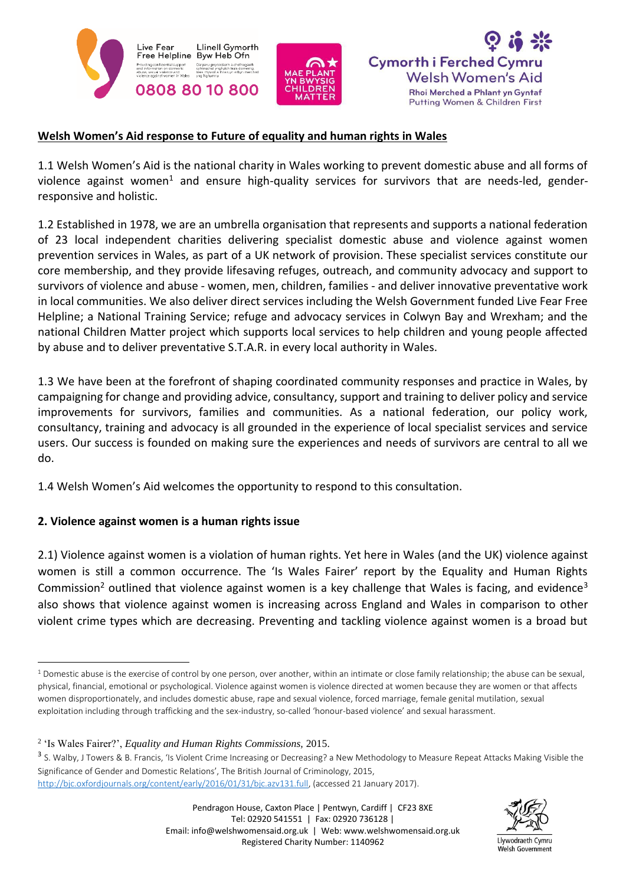





#### **Welsh Women's Aid response to Future of equality and human rights in Wales**

1.1 Welsh Women's Aid is the national charity in Wales working to prevent domestic abuse and all forms of violence against women<sup>1</sup> and ensure high-quality services for survivors that are needs-led, genderresponsive and holistic.

1.2 Established in 1978, we are an umbrella organisation that represents and supports a national federation of 23 local independent charities delivering specialist domestic abuse and violence against women prevention services in Wales, as part of a UK network of provision. These specialist services constitute our core membership, and they provide lifesaving refuges, outreach, and community advocacy and support to survivors of violence and abuse - women, men, children, families - and deliver innovative preventative work in local communities. We also deliver direct services including the Welsh Government funded Live Fear Free Helpline; a National Training Service; refuge and advocacy services in Colwyn Bay and Wrexham; and the national Children Matter project which supports local services to help children and young people affected by abuse and to deliver preventative S.T.A.R. in every local authority in Wales.

1.3 We have been at the forefront of shaping coordinated community responses and practice in Wales, by campaigning for change and providing advice, consultancy, support and training to deliver policy and service improvements for survivors, families and communities. As a national federation, our policy work, consultancy, training and advocacy is all grounded in the experience of local specialist services and service users. Our success is founded on making sure the experiences and needs of survivors are central to all we do.

1.4 Welsh Women's Aid welcomes the opportunity to respond to this consultation.

#### **2. Violence against women is a human rights issue**

**.** 

2.1) Violence against women is a violation of human rights. Yet here in Wales (and the UK) violence against women is still a common occurrence. The 'Is Wales Fairer' report by the Equality and Human Rights Commission<sup>2</sup> outlined that violence against women is a key challenge that Wales is facing, and evidence<sup>3</sup> also shows that violence against women is increasing across England and Wales in comparison to other violent crime types which are decreasing. Preventing and tackling violence against women is a broad but



 $1$  Domestic abuse is the exercise of control by one person, over another, within an intimate or close family relationship; the abuse can be sexual, physical, financial, emotional or psychological. Violence against women is violence directed at women because they are women or that affects women disproportionately, and includes domestic abuse, rape and sexual violence, forced marriage, female genital mutilation, sexual exploitation including through trafficking and the sex-industry, so-called 'honour-based violence' and sexual harassment.

<sup>2</sup> 'Is Wales Fairer?', *Equality and Human Rights Commissions,* 2015.

<sup>&</sup>lt;sup>3</sup> S. Walby, J Towers & B. Francis, 'Is Violent Crime Increasing or Decreasing? a New Methodology to Measure Repeat Attacks Making Visible the Significance of Gender and Domestic Relations', The British Journal of Criminology, 2015, [http://bjc.oxfordjournals.org/content/early/2016/01/31/bjc.azv131.full,](http://bjc.oxfordjournals.org/content/early/2016/01/31/bjc.azv131.full) (accessed 21 January 2017).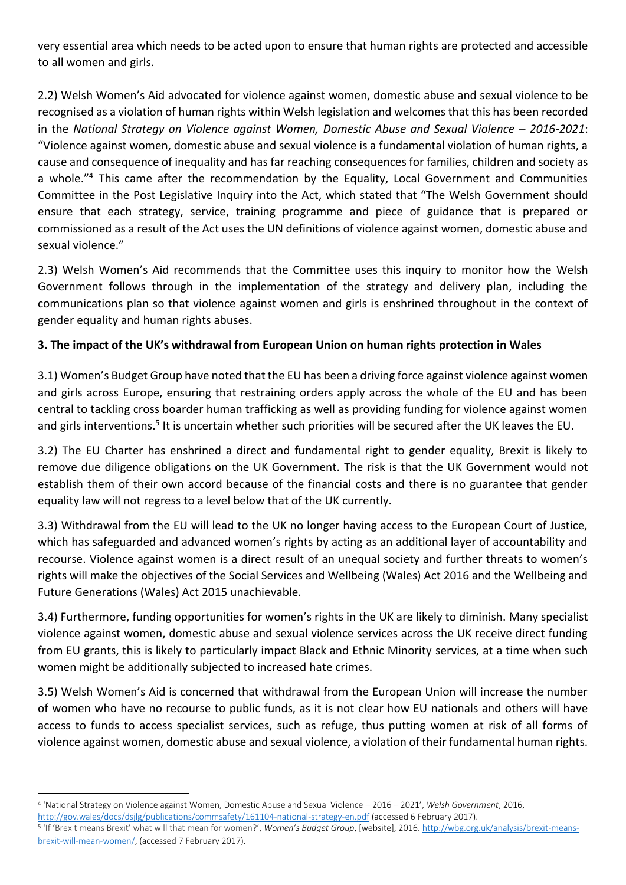very essential area which needs to be acted upon to ensure that human rights are protected and accessible to all women and girls.

2.2) Welsh Women's Aid advocated for violence against women, domestic abuse and sexual violence to be recognised as a violation of human rights within Welsh legislation and welcomes that this has been recorded in the *National Strategy on Violence against Women, Domestic Abuse and Sexual Violence – 2016-2021*: "Violence against women, domestic abuse and sexual violence is a fundamental violation of human rights, a cause and consequence of inequality and has far reaching consequences for families, children and society as a whole."<sup>4</sup> This came after the recommendation by the Equality, Local Government and Communities Committee in the Post Legislative Inquiry into the Act, which stated that "The Welsh Government should ensure that each strategy, service, training programme and piece of guidance that is prepared or commissioned as a result of the Act uses the UN definitions of violence against women, domestic abuse and sexual violence."

2.3) Welsh Women's Aid recommends that the Committee uses this inquiry to monitor how the Welsh Government follows through in the implementation of the strategy and delivery plan, including the communications plan so that violence against women and girls is enshrined throughout in the context of gender equality and human rights abuses.

# **3. The impact of the UK's withdrawal from European Union on human rights protection in Wales**

3.1) Women's Budget Group have noted that the EU has been a driving force against violence against women and girls across Europe, ensuring that restraining orders apply across the whole of the EU and has been central to tackling cross boarder human trafficking as well as providing funding for violence against women and girls interventions.<sup>5</sup> It is uncertain whether such priorities will be secured after the UK leaves the EU.

3.2) The EU Charter has enshrined a direct and fundamental right to gender equality, Brexit is likely to remove due diligence obligations on the UK Government. The risk is that the UK Government would not establish them of their own accord because of the financial costs and there is no guarantee that gender equality law will not regress to a level below that of the UK currently.

3.3) Withdrawal from the EU will lead to the UK no longer having access to the European Court of Justice, which has safeguarded and advanced women's rights by acting as an additional layer of accountability and recourse. Violence against women is a direct result of an unequal society and further threats to women's rights will make the objectives of the Social Services and Wellbeing (Wales) Act 2016 and the Wellbeing and Future Generations (Wales) Act 2015 unachievable.

3.4) Furthermore, funding opportunities for women's rights in the UK are likely to diminish. Many specialist violence against women, domestic abuse and sexual violence services across the UK receive direct funding from EU grants, this is likely to particularly impact Black and Ethnic Minority services, at a time when such women might be additionally subjected to increased hate crimes.

3.5) Welsh Women's Aid is concerned that withdrawal from the European Union will increase the number of women who have no recourse to public funds, as it is not clear how EU nationals and others will have access to funds to access specialist services, such as refuge, thus putting women at risk of all forms of violence against women, domestic abuse and sexual violence, a violation of their fundamental human rights.

 $\overline{a}$ 

<sup>4</sup> 'National Strategy on Violence against Women, Domestic Abuse and Sexual Violence – 2016 – 2021', *Welsh Government*, 2016, <http://gov.wales/docs/dsjlg/publications/commsafety/161104-national-strategy-en.pdf> (accessed 6 February 2017).

<sup>&</sup>lt;sup>5</sup> 'If 'Brexit means Brexit' what will that mean for women?', *Women's Budget Group*, [website], 2016[. http://wbg.org.uk/analysis/brexit-means](http://wbg.org.uk/analysis/brexit-means-brexit-will-mean-women/)[brexit-will-mean-women/,](http://wbg.org.uk/analysis/brexit-means-brexit-will-mean-women/) (accessed 7 February 2017).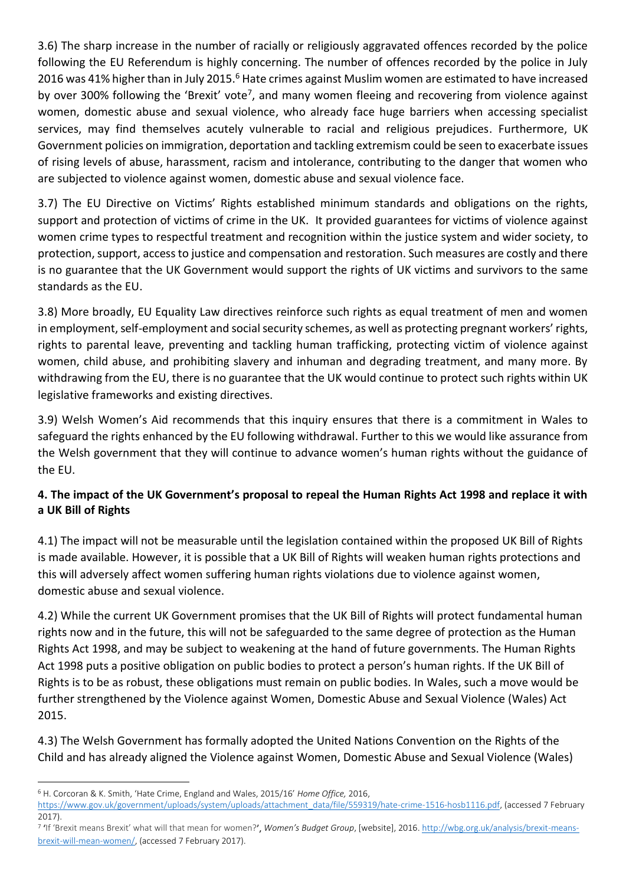3.6) The sharp increase in the number of racially or religiously aggravated offences recorded by the police following the EU Referendum is highly concerning. The number of offences recorded by the police in July 2016 was 41% higher than in July 2015.<sup>6</sup> Hate crimes against Muslim women are estimated to have increased by over 300% following the 'Brexit' vote<sup>7</sup>, and many women fleeing and recovering from violence against women, domestic abuse and sexual violence, who already face huge barriers when accessing specialist services, may find themselves acutely vulnerable to racial and religious prejudices. Furthermore, UK Government policies on immigration, deportation and tackling extremism could be seen to exacerbate issues of rising levels of abuse, harassment, racism and intolerance, contributing to the danger that women who are subjected to violence against women, domestic abuse and sexual violence face.

3.7) The EU Directive on Victims' Rights established minimum standards and obligations on the rights, support and protection of victims of crime in the UK. It provided guarantees for victims of violence against women crime types to respectful treatment and recognition within the justice system and wider society, to protection, support, access to justice and compensation and restoration. Such measures are costly and there is no guarantee that the UK Government would support the rights of UK victims and survivors to the same standards as the EU.

3.8) More broadly, EU Equality Law directives reinforce such rights as equal treatment of men and women in employment, self-employment and social security schemes, as well as protecting pregnant workers' rights, rights to parental leave, preventing and tackling human trafficking, protecting victim of violence against women, child abuse, and prohibiting slavery and inhuman and degrading treatment, and many more. By withdrawing from the EU, there is no guarantee that the UK would continue to protect such rights within UK legislative frameworks and existing directives.

3.9) Welsh Women's Aid recommends that this inquiry ensures that there is a commitment in Wales to safeguard the rights enhanced by the EU following withdrawal. Further to this we would like assurance from the Welsh government that they will continue to advance women's human rights without the guidance of the EU.

### **4. The impact of the UK Government's proposal to repeal the Human Rights Act 1998 and replace it with a UK Bill of Rights**

4.1) The impact will not be measurable until the legislation contained within the proposed UK Bill of Rights is made available. However, it is possible that a UK Bill of Rights will weaken human rights protections and this will adversely affect women suffering human rights violations due to violence against women, domestic abuse and sexual violence.

4.2) While the current UK Government promises that the UK Bill of Rights will protect fundamental human rights now and in the future, this will not be safeguarded to the same degree of protection as the Human Rights Act 1998, and may be subject to weakening at the hand of future governments. The Human Rights Act 1998 puts a positive obligation on public bodies to protect a person's human rights. If the UK Bill of Rights is to be as robust, these obligations must remain on public bodies. In Wales, such a move would be further strengthened by the Violence against Women, Domestic Abuse and Sexual Violence (Wales) Act 2015.

4.3) The Welsh Government has formally adopted the United Nations Convention on the Rights of the Child and has already aligned the Violence against Women, Domestic Abuse and Sexual Violence (Wales)

<sup>1</sup> <sup>6</sup> H. Corcoran & K. Smith, 'Hate Crime, England and Wales, 2015/16' *Home Office,* 2016,

[https://www.gov.uk/government/uploads/system/uploads/attachment\\_data/file/559319/hate-crime-1516-hosb1116.pdf,](https://www.gov.uk/government/uploads/system/uploads/attachment_data/file/559319/hate-crime-1516-hosb1116.pdf) (accessed 7 February 2017).

<sup>&</sup>lt;sup>7</sup> 'If 'Brexit means Brexit' what will that mean for women?', Women's Budget Group, [website], 2016[. http://wbg.org.uk/analysis/brexit-means](http://wbg.org.uk/analysis/brexit-means-brexit-will-mean-women/)[brexit-will-mean-women/,](http://wbg.org.uk/analysis/brexit-means-brexit-will-mean-women/) (accessed 7 February 2017).